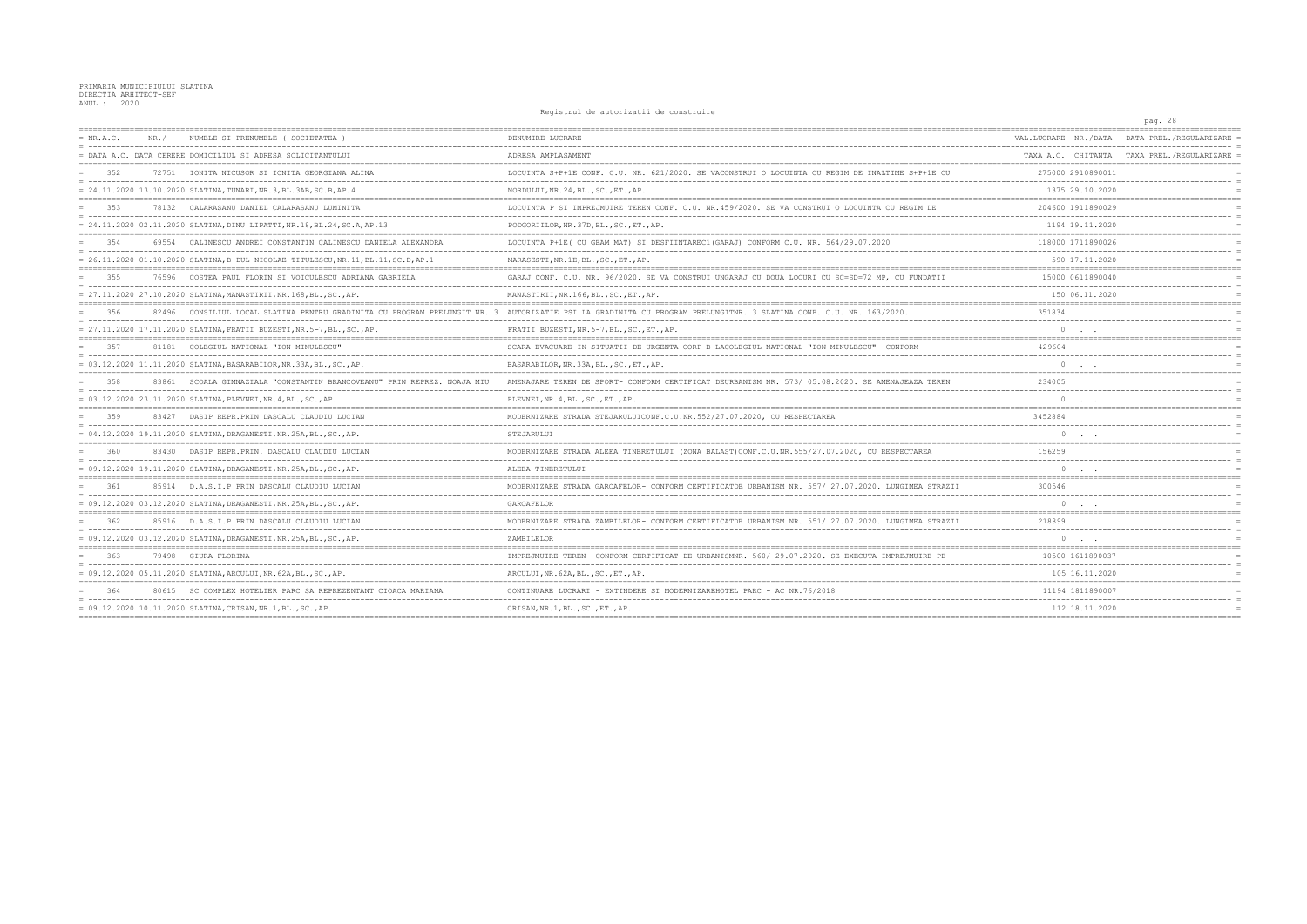PRIMARIA MUNICIPIULUI SLATINA<br>DIRECTIA ARHITECT-SEF<br>ANUL : 2020

## Registrul de autorizatii de construire

|       |                                                         |                                                                                                                                                                                                                                                                                                                                                                                                                                                                                                                                                                                                                                                                                                                                                                                                                                                                                                                                                                                                                                                                                                                                                                                                                                                                                                                                    |                                                                                                                                                                   | pag. 28                                                         |
|-------|---------------------------------------------------------|------------------------------------------------------------------------------------------------------------------------------------------------------------------------------------------------------------------------------------------------------------------------------------------------------------------------------------------------------------------------------------------------------------------------------------------------------------------------------------------------------------------------------------------------------------------------------------------------------------------------------------------------------------------------------------------------------------------------------------------------------------------------------------------------------------------------------------------------------------------------------------------------------------------------------------------------------------------------------------------------------------------------------------------------------------------------------------------------------------------------------------------------------------------------------------------------------------------------------------------------------------------------------------------------------------------------------------|-------------------------------------------------------------------------------------------------------------------------------------------------------------------|-----------------------------------------------------------------|
| NR. / | NUMELE SI PRENUMELE (SOCIETATEA)                        | DENUMIRE LUCRARE                                                                                                                                                                                                                                                                                                                                                                                                                                                                                                                                                                                                                                                                                                                                                                                                                                                                                                                                                                                                                                                                                                                                                                                                                                                                                                                   | VAL.LUCRARE NR./DATA                                                                                                                                              | DATA PREL./REGULARIZARE                                         |
|       |                                                         | ADRESA AMPLASAMENT                                                                                                                                                                                                                                                                                                                                                                                                                                                                                                                                                                                                                                                                                                                                                                                                                                                                                                                                                                                                                                                                                                                                                                                                                                                                                                                 |                                                                                                                                                                   | TAXA A.C. CHITANTA TAXA PREL./REGULARIZARE                      |
|       |                                                         | LOCUINTA S+P+1E CONF. C.U. NR. 621/2020. SE VACONSTRUI O LOCUINTA CU REGIM DE INALTIME S+P+1E CU                                                                                                                                                                                                                                                                                                                                                                                                                                                                                                                                                                                                                                                                                                                                                                                                                                                                                                                                                                                                                                                                                                                                                                                                                                   | 275000 2910890011                                                                                                                                                 |                                                                 |
|       |                                                         | NORDULUI, NR. 24, BL., SC., ET., AP.                                                                                                                                                                                                                                                                                                                                                                                                                                                                                                                                                                                                                                                                                                                                                                                                                                                                                                                                                                                                                                                                                                                                                                                                                                                                                               | 1375 29.10.2020                                                                                                                                                   |                                                                 |
|       | CALARASANU DANIEL CALARASANU LUMINITA                   | LOCUINTA P SI IMPREJMUIRE TEREN CONF. C.U. NR. 459/2020. SE VA CONSTRUI O LOCUINTA CU REGIM DE                                                                                                                                                                                                                                                                                                                                                                                                                                                                                                                                                                                                                                                                                                                                                                                                                                                                                                                                                                                                                                                                                                                                                                                                                                     | 204600 1911890029                                                                                                                                                 |                                                                 |
|       |                                                         | PODGORIILOR, NR. 37D, BL., SC., ET., AP.                                                                                                                                                                                                                                                                                                                                                                                                                                                                                                                                                                                                                                                                                                                                                                                                                                                                                                                                                                                                                                                                                                                                                                                                                                                                                           | 1194 19.11.2020                                                                                                                                                   |                                                                 |
|       | CALINESCU ANDREI CONSTANTIN CALINESCU DANIELA ALEXANDRA | LOCUINTA P+1E( CU GEAM MAT) SI DESFIINTAREC1(GARAJ) CONFORM C.U. NR. 564/29.07.2020                                                                                                                                                                                                                                                                                                                                                                                                                                                                                                                                                                                                                                                                                                                                                                                                                                                                                                                                                                                                                                                                                                                                                                                                                                                | 118000 1711890026                                                                                                                                                 |                                                                 |
|       |                                                         | MARASESTI, NR.1E, BL., SC., ET., AP.                                                                                                                                                                                                                                                                                                                                                                                                                                                                                                                                                                                                                                                                                                                                                                                                                                                                                                                                                                                                                                                                                                                                                                                                                                                                                               | 590 17.11.2020                                                                                                                                                    |                                                                 |
|       |                                                         | GARAJ CONF. C.U. NR. 96/2020. SE VA CONSTRUI UNGARAJ CU DOUA LOCURI CU SC=SD=72 MP, CU FUNDATII                                                                                                                                                                                                                                                                                                                                                                                                                                                                                                                                                                                                                                                                                                                                                                                                                                                                                                                                                                                                                                                                                                                                                                                                                                    | 15000 0611890040                                                                                                                                                  |                                                                 |
|       |                                                         | MANASTIRII, NR.166, BL., SC., ET., AP.                                                                                                                                                                                                                                                                                                                                                                                                                                                                                                                                                                                                                                                                                                                                                                                                                                                                                                                                                                                                                                                                                                                                                                                                                                                                                             | 150 06.11.2020                                                                                                                                                    |                                                                 |
|       |                                                         |                                                                                                                                                                                                                                                                                                                                                                                                                                                                                                                                                                                                                                                                                                                                                                                                                                                                                                                                                                                                                                                                                                                                                                                                                                                                                                                                    | 351834                                                                                                                                                            |                                                                 |
|       |                                                         | FRATII BUZESTI, NR. 5-7, BL., SC., ET., AP.                                                                                                                                                                                                                                                                                                                                                                                                                                                                                                                                                                                                                                                                                                                                                                                                                                                                                                                                                                                                                                                                                                                                                                                                                                                                                        |                                                                                                                                                                   |                                                                 |
|       |                                                         | SCARA EVACUARE IN SITUATII DE URGENTA CORP B LACOLEGIUL NATIONAL "ION MINULESCU"- CONFORM                                                                                                                                                                                                                                                                                                                                                                                                                                                                                                                                                                                                                                                                                                                                                                                                                                                                                                                                                                                                                                                                                                                                                                                                                                          | 429604                                                                                                                                                            |                                                                 |
|       |                                                         | BASARABILOR, NR. 33A, BL., SC., ET., AP.                                                                                                                                                                                                                                                                                                                                                                                                                                                                                                                                                                                                                                                                                                                                                                                                                                                                                                                                                                                                                                                                                                                                                                                                                                                                                           |                                                                                                                                                                   |                                                                 |
|       | SCOALA GIMNAZIALA "CONSTANTIN BRANCOVEANU"<br>NOAJA MTU | AMENAJARE TEREN DE SPORT- CONFORM CERTIFICAT DEURBANISM NR. 573/ 05.08.2020. SE AMENAJEAZA TEREN                                                                                                                                                                                                                                                                                                                                                                                                                                                                                                                                                                                                                                                                                                                                                                                                                                                                                                                                                                                                                                                                                                                                                                                                                                   | 234005                                                                                                                                                            |                                                                 |
|       |                                                         | PLEVNEI, NR. 4, BL., SC., ET., AP.                                                                                                                                                                                                                                                                                                                                                                                                                                                                                                                                                                                                                                                                                                                                                                                                                                                                                                                                                                                                                                                                                                                                                                                                                                                                                                 |                                                                                                                                                                   |                                                                 |
|       | DASIP REPR. PRIN DASCALU CLAUDIU LUCIAN                 | MODERNIZARE STRADA STEJARULUICONF.C.U.NR.552/27.07.2020, CU RESPECTAREA                                                                                                                                                                                                                                                                                                                                                                                                                                                                                                                                                                                                                                                                                                                                                                                                                                                                                                                                                                                                                                                                                                                                                                                                                                                            | 3452884                                                                                                                                                           |                                                                 |
|       |                                                         | STEJARULUI                                                                                                                                                                                                                                                                                                                                                                                                                                                                                                                                                                                                                                                                                                                                                                                                                                                                                                                                                                                                                                                                                                                                                                                                                                                                                                                         |                                                                                                                                                                   |                                                                 |
|       |                                                         | MODERNIZARE STRADA ALEEA TINERETULUI (ZONA BALAST)CONF.C.U.NR.555/27.07.2020, CU RESPECTAREA                                                                                                                                                                                                                                                                                                                                                                                                                                                                                                                                                                                                                                                                                                                                                                                                                                                                                                                                                                                                                                                                                                                                                                                                                                       | 156259                                                                                                                                                            |                                                                 |
|       |                                                         | ALEEA TINERETULUI                                                                                                                                                                                                                                                                                                                                                                                                                                                                                                                                                                                                                                                                                                                                                                                                                                                                                                                                                                                                                                                                                                                                                                                                                                                                                                                  |                                                                                                                                                                   |                                                                 |
|       |                                                         | MODERNIZARE STRADA GAROAFELOR- CONFORM CERTIFICATDE URBANISM NR. 557/ 27.07.2020. LUNGIMEA STRAZII                                                                                                                                                                                                                                                                                                                                                                                                                                                                                                                                                                                                                                                                                                                                                                                                                                                                                                                                                                                                                                                                                                                                                                                                                                 | 300546                                                                                                                                                            |                                                                 |
|       |                                                         | GAROAFELOR                                                                                                                                                                                                                                                                                                                                                                                                                                                                                                                                                                                                                                                                                                                                                                                                                                                                                                                                                                                                                                                                                                                                                                                                                                                                                                                         | $\circ$<br>$\sim$ $\sim$ $\sim$                                                                                                                                   |                                                                 |
|       |                                                         | MODERNIZARE STRADA ZAMBILELOR- CONFORM CERTIFICATDE URBANISM NR. 551/ 27.07.2020. LUNGIMEA STRAZII                                                                                                                                                                                                                                                                                                                                                                                                                                                                                                                                                                                                                                                                                                                                                                                                                                                                                                                                                                                                                                                                                                                                                                                                                                 | 218899                                                                                                                                                            |                                                                 |
|       |                                                         | ZAMBILELOR                                                                                                                                                                                                                                                                                                                                                                                                                                                                                                                                                                                                                                                                                                                                                                                                                                                                                                                                                                                                                                                                                                                                                                                                                                                                                                                         | $\Omega$                                                                                                                                                          |                                                                 |
|       |                                                         | IMPREJMUIRE TEREN- CONFORM CERTIFICAT DE URBANISMNR. 560/ 29.07.2020. SE EXECUTA IMPREJMUIRE PE                                                                                                                                                                                                                                                                                                                                                                                                                                                                                                                                                                                                                                                                                                                                                                                                                                                                                                                                                                                                                                                                                                                                                                                                                                    | 10500 1611890037                                                                                                                                                  |                                                                 |
|       |                                                         | ARCULUI, NR. 62A, BL., SC., ET., AP.                                                                                                                                                                                                                                                                                                                                                                                                                                                                                                                                                                                                                                                                                                                                                                                                                                                                                                                                                                                                                                                                                                                                                                                                                                                                                               | 105 16.11.2020                                                                                                                                                    |                                                                 |
|       | SC COMPLEX HOTELIER PARC SA REPREZENTANT                | - EXTINDERE SI MODERNIZAREHOTEL                                                                                                                                                                                                                                                                                                                                                                                                                                                                                                                                                                                                                                                                                                                                                                                                                                                                                                                                                                                                                                                                                                                                                                                                                                                                                                    | 11194 181189000                                                                                                                                                   |                                                                 |
|       |                                                         | CRISAN, NR.1, BL., SC., ET., AP.                                                                                                                                                                                                                                                                                                                                                                                                                                                                                                                                                                                                                                                                                                                                                                                                                                                                                                                                                                                                                                                                                                                                                                                                                                                                                                   | 112 18.11.2020                                                                                                                                                    |                                                                 |
|       |                                                         | = DATA A.C. DATA CERERE DOMICILIUL SI ADRESA SOLICITANTULUI<br>72751 IONITA NICUSOR SI IONITA GEORGIANA ALINA<br>= 24.11.2020 13.10.2020 SLATINA, TUNARI, NR.3, BL.3AB, SC.B, AP.4<br>78132<br>$= 24.11.2020 02.11.2020 SLATINA, DINU LIPATTI, NR.18, BL.24, SC.A, AP.13$<br>69554<br>= 26.11.2020 01.10.2020 SLATINA, B-DUL NICOLAE TITULESCU, NR.11, BL.11, SC.D, AP.1<br>76596 COSTEA PAUL FLORIN SI VOICULESCU ADRIANA GABRIELA<br>= 27.11.2020 17.11.2020 SLATINA, FRATII BUZESTI, NR.5-7, BL., SC., AP.<br>81181 COLEGIUL NATIONAL "ION MINULESCU"<br>= 03.12.2020 11.11.2020 SLATINA, BASARABILOR, NR.33A, BL., SC., AP.<br>83861<br>= 03.12.2020 23.11.2020 SLATINA, PLEVNEI, NR. 4, BL., SC., AP.<br>83427<br>= 04.12.2020 19.11.2020 SLATINA, DRAGANESTI, NR.25A, BL., SC., AP.<br>83430 DASIP REPR. PRIN. DASCALU CLAUDIU LUCIAN<br>= 09.12.2020        19.11.2020        SLATINA, DRAGANESTI, NR.25A, BL., SC., AP.<br>85914 D.A.S.I.P PRIN DASCALU CLAUDIU LUCIAN<br>= 09.12.2020 03.12.2020 SLATINA, DRAGANESTI, NR.25A, BL., SC., AP.<br>85916 D.A.S.I.P PRIN DASCALU CLAUDIU LUCIAN<br>= 09.12.2020 03.12.2020 SLATINA, DRAGANESTI, NR.25A, BL., SC., AP.<br>79498 GIURA FLORINA<br>= 09.12.2020 05.11.2020 SLATINA, ARCULUI, NR.62A, BL., SC., AP<br>= 09.12.2020 10.11.2020 SLATINA, CRISAN, NR.1, BL., SC., AP. | 82496 CONSILIUL LOCAL SLATINA PENTRU GRADINITA CU PROGRAM PRELUNGIT NR. 3 AUTORIZATIE PSI LA GRADINITA CU PROGRAM PRELUNGITNR. 3 SLATINA CONF. C.U. NR. 163/2020. | nographem do ducorredori do conservario<br>-------------------- |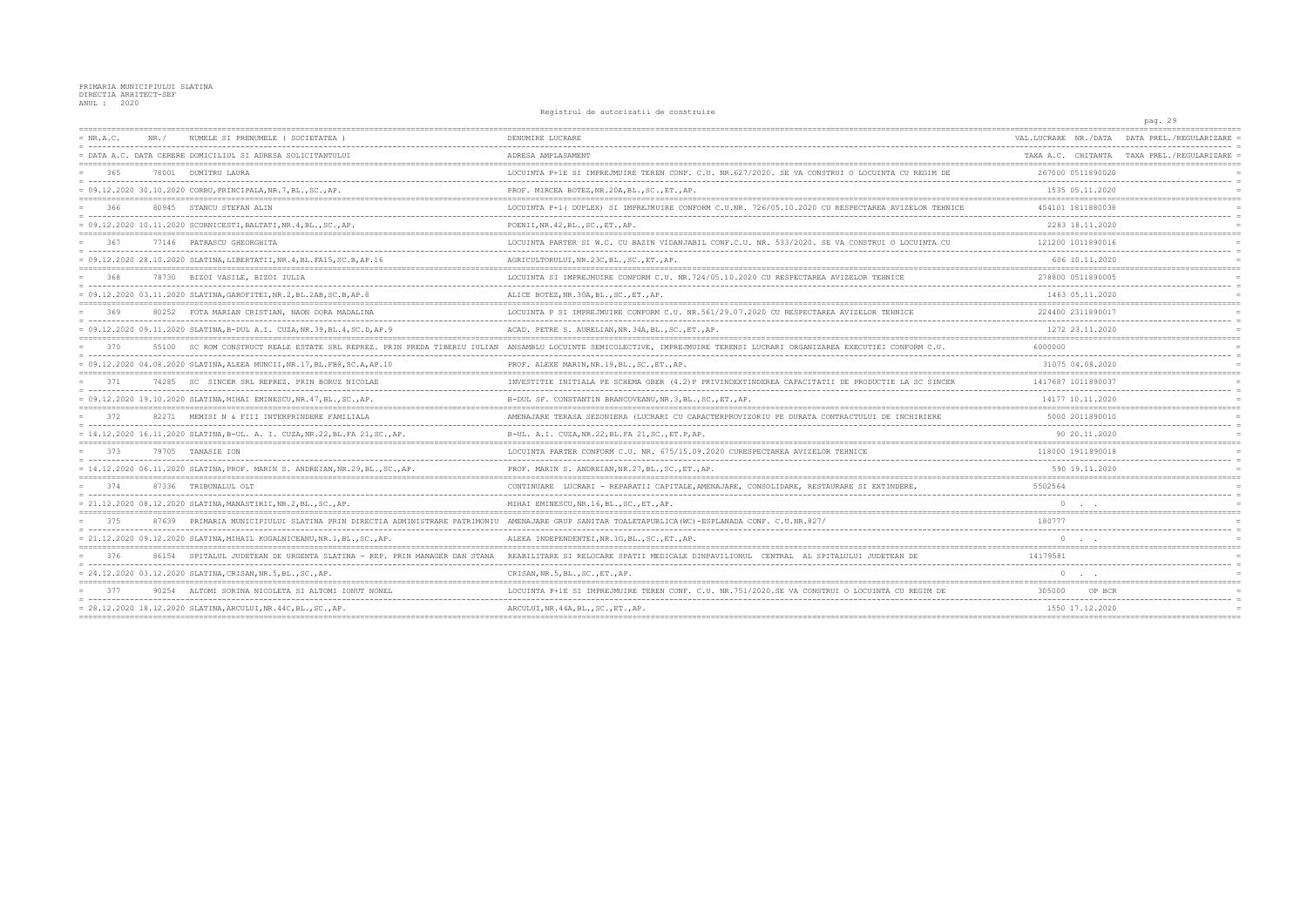## PRIMARIA MUNICIPIULUI SLATINA<br>DIRECTIA ARHITECT-SEF<br>ANUL : 2020

## Registrul de autorizatii de construire

|             |       |                                                                                | nogrocrar ac aucorraducri ac comperario                                                              |                      | pag. 29                                    |
|-------------|-------|--------------------------------------------------------------------------------|------------------------------------------------------------------------------------------------------|----------------------|--------------------------------------------|
| $= NR.A.C.$ | NR. / | NUMELE SI PRENUMELE ( SOCIETATEA )                                             | DENUMIRE LUCRARE                                                                                     | VAL.LUCRARE NR./DATA | DATA PREL./REGULARIZARE                    |
|             |       | = DATA A.C. DATA CERERE DOMICILIUL SI ADRESA SOLICITANTULUI                    | ADRESA AMPLASAMENT                                                                                   |                      | TAXA A.C. CHITANTA TAXA PREL./REGULARIZARE |
| 365         |       | 78001 DUMITRU LAURA                                                            | LOCUINTA P+1E SI IMPREJMUIRE TEREN CONF. C.U. NR.627/2020. SE VA CONSTRUI O LOCUINTA CU REGIM DE     | 267000 0511890020    |                                            |
|             |       | = 09.12.2020 30.10.2020 CORBU, PRINCIPALA, NR.7, BL., SC., AP.                 | PROF. MIRCEA BOTEZ, NR.20A, BL., SC., ET., AP.                                                       | 1535 05.11.2020      |                                            |
| 366         |       | 80945 STANCU STEFAN ALIN                                                       | LOCUINTA P+1 ( DUPLEX) SI IMPREJMUIRE CONFORM C.U.NR. 726/05.10.2020 CU RESPECTAREA AVIZELOR TEHNICE | 454101 1811880038    |                                            |
|             |       | = 09.12.2020 10.11.2020 SCORNICESTI, BALTATI, NR.4, BL., SC., AP.              | POENII, NR. 42, BL., SC., ET., AP.                                                                   | 2283 18.11.2020      |                                            |
| 367         |       | 77146 PATRASCU GHEORGHITA                                                      | LOCUINTA PARTER SI W.C. CU BAZIN VIDANJABIL CONF.C.U. NR. 533/2020. SE VA CONSTRUI O LOCUINTA CU     | 121200 1011890016    |                                            |
|             |       | = 09.12.2020 28.10.2020 SLATINA, LIBERTATII, NR.4, BL.FA15, SC.B, AP.16        | AGRICULTORULUI, NR.23C, BL., SC., ET., AP.                                                           | 606 10.11.2020       |                                            |
| 368         |       | 78730 BIZOI VASILE, BIZOI IULIA                                                | LOCUINTA SI IMPREJMUIRE CONFORM C.U. NR.724/05.10.2020 CU RESPECTAREA AVIZELOR TEHNICE               | 278800 0511890005    |                                            |
|             |       | = 09.12.2020 03.11.2020 SLATINA, GAROFITEI, NR.2, BL.2AB, SC.B, AP.8           | ALICE BOTEZ, NR. 30A, BL., SC., ET., AP.                                                             | 1463 05.11.2020      |                                            |
| 369         |       | 80252 FOTA MARIAN CRISTIAN, NAON DORA MADALINA                                 | LOCUINTA P SI IMPREJMUIRE CONFORM C.U. NR.561/29.07.2020 CU RESPECTAREA AVIZELOR TEHNICE             | 224400 2311890017    |                                            |
|             |       | = 09.12.2020 09.11.2020 SLATINA,B-DUL A.I. CUZA,NR.39,BL.4,SC.D,AP.9           | ACAD. PETRE S. AURELIAN, NR. 34A, BL., SC., ET., AP.                                                 | 1272 23.11.2020      |                                            |
| 370         | 55100 | SC ROM CONSTRUCT REALE ESTATE SRL REPREZ. PRIN PREDA TIBERIU IULIAN            | ANSAMBLU LOCUINTE SEMICOLECTIVE, IMPREJMUIRE TERENSI LUCRARI ORGANIZAREA EXECUTIEI CONFORM C.U.      | 6000000              |                                            |
|             |       | = 09.12.2020 04.08.2020 SLATINA, ALEEA MUNCII, NR.17, BL.FB8, SC.A, AP.10      | PROF. ALEXE MARIN, NR. 19, BL., SC., ET., AP.                                                        | 31075 04.08.2020     |                                            |
| 371         | 74285 | SC SINCER SRL REPREZ. PRIN BORUZ NICOLAE                                       | INVESTITIE INITIALA PE SCHEMA GBER (4.2) P PRIVINDEXTINDEREA CAPACITATII DE PRODUCTIE LA SC SINCER   | 1417687 1011890037   |                                            |
|             |       | = 09.12.2020 19.10.2020 SLATINA, MIHAI EMINESCU, NR.47, BL., SC., AP.          | B-DUL SF. CONSTANTIN BRANCOVEANU, NR. 3, BL., SC., ET., AP.                                          | 14177 10.11.2020     |                                            |
| 372         |       | 82271 MEMISI N & FIII INTERPRINDERE FAMILIALA                                  | AMENAJARE TERASA SEZONIERA (LUCRARI CU CARACTERPROVIZORIU PE DURATA CONTRACTULUI DE INCHIRIERE       | 5000 2011890010      |                                            |
|             |       | = 14.12.2020 16.11.2020 SLATINA,B-UL. A. I. CUZA,NR.22,BL.FA 21,SC.,AP.        | B-UL. A.I. CUZA, NR. 22, BL. FA 21, SC., ET. P, AP.                                                  | 90 20.11.2020        |                                            |
| 373         |       | 79705 TANASIE ION                                                              | LOCUINTA PARTER CONFORM C.U. NR. 675/15.09.2020 CURESPECTAREA AVIZELOR TEHNICE                       | 118000 1911890018    |                                            |
|             |       | = 14.12.2020 06.11.2020 SLATINA, PROF. MARIN S. ANDREIAN, NR.29, BL., SC., AP. | PROF. MARIN S. ANDREIAN, NR. 27, BL., SC., ET., AP.                                                  | 590 19.11.2020       |                                            |
| 374         |       | 87336 TRIBUNALUL OLT                                                           | CONTINUARE LUCRARI - REPARATII CAPITALE, AMENAJARE, CONSOLIDARE, RESTAURARE SI EXTINDERE.            | 5502564              |                                            |
|             |       | = 21.12.2020 08.12.2020 SLATINA, MANASTIRII, NR.2, BL., SC., AP.               | MIHAI EMINESCU, NR. 16, BL., SC., ET., AP.                                                           |                      |                                            |
| 375         | 87639 | PRIMARIA MUNICIPIULUI SLATINA PRIN DIRECTIA ADMINISTRARE PATRIMONIU            | AMENAJARE GRUP SANITAR TOALETAPUBLICA (WC)-ESPLANADA CONF. C.U.NR.827,                               | 180777               |                                            |
|             |       | = 21.12.2020 09.12.2020 SLATINA, MIHAIL KOGALNICEANU, NR.1, BL., SC., AP.      | ALEEA INDEPENDENTEI, NR. 1G, BL., SC., ET., AP.                                                      |                      |                                            |
| 376         | 86154 | SPITALUL JUDETEAN DE URGENTA SLATINA - REP.                                    | REABILITARE SI RELOCARE SPATII MEDICALE DINPAVILIONUL<br>CENTRAL<br>AL SPITALULUI JUDETEAN DE        | 14179581             |                                            |
|             |       | = 24.12.2020 03.12.2020 SLATINA, CRISAN, NR. 5, BL., SC., AP.                  | CRISAN, NR. 5, BL., SC., ET., AP.                                                                    |                      |                                            |
|             |       | ALTOMI SORINA NICOLETA SI ALTOMI IONUT NONEI                                   | LOCUINTA P+1E SI IMPREJMUIRE TEREN CONF. C.U. NR.751/2020.SE VA CONSTRUI O LOCUINTA CU               | 305000<br>OP BCR     |                                            |
|             |       | $= 28.12.2020 18.12.2020 SLATINA, ARCHUIJ, NR.44C, BL., SC., AP.$              | ARCULUI, NR. 44A, BL., SC., ET., AP.                                                                 | 1550 17.12.2020      |                                            |